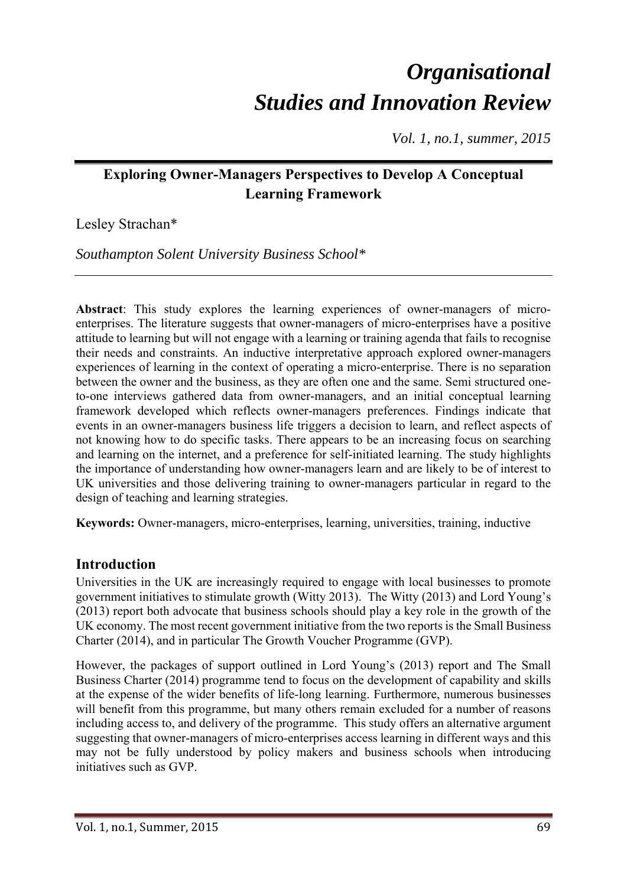# *Organisational Studies and Innovation Review*

*Vol. 1, no.1, summer, 2015* 

# **Exploring Owner-Managers Perspectives to Develop A Conceptual Learning Framework**

Lesley Strachan\*

*Southampton Solent University Business School\** 

**Abstract**: This study explores the learning experiences of owner-managers of microenterprises. The literature suggests that owner-managers of micro-enterprises have a positive attitude to learning but will not engage with a learning or training agenda that fails to recognise their needs and constraints. An inductive interpretative approach explored owner-managers experiences of learning in the context of operating a micro-enterprise. There is no separation between the owner and the business, as they are often one and the same. Semi structured oneto-one interviews gathered data from owner-managers, and an initial conceptual learning framework developed which reflects owner-managers preferences. Findings indicate that events in an owner-managers business life triggers a decision to learn, and reflect aspects of not knowing how to do specific tasks. There appears to be an increasing focus on searching and learning on the internet, and a preference for self-initiated learning. The study highlights the importance of understanding how owner-managers learn and are likely to be of interest to UK universities and those delivering training to owner-managers particular in regard to the design of teaching and learning strategies.

**Keywords:** Owner-managers, micro-enterprises, learning, universities, training, inductive

# **Introduction**

Universities in the UK are increasingly required to engage with local businesses to promote government initiatives to stimulate growth (Witty 2013). The Witty (2013) and Lord Young's (2013) report both advocate that business schools should play a key role in the growth of the UK economy. The most recent government initiative from the two reports is the Small Business Charter (2014), and in particular The Growth Voucher Programme (GVP).

However, the packages of support outlined in Lord Young's (2013) report and The Small Business Charter (2014) programme tend to focus on the development of capability and skills at the expense of the wider benefits of life-long learning. Furthermore, numerous businesses will benefit from this programme, but many others remain excluded for a number of reasons including access to, and delivery of the programme. This study offers an alternative argument suggesting that owner-managers of micro-enterprises access learning in different ways and this may not be fully understood by policy makers and business schools when introducing initiatives such as GVP.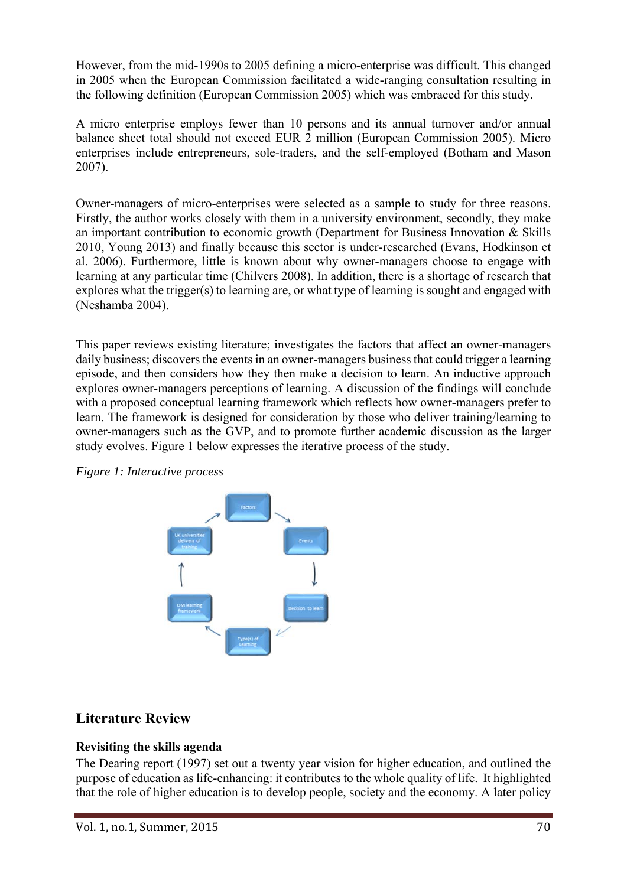However, from the mid-1990s to 2005 defining a micro-enterprise was difficult. This changed in 2005 when the European Commission facilitated a wide-ranging consultation resulting in the following definition (European Commission 2005) which was embraced for this study.

A micro enterprise employs fewer than 10 persons and its annual turnover and/or annual balance sheet total should not exceed EUR 2 million (European Commission 2005). Micro enterprises include entrepreneurs, sole-traders, and the self-employed (Botham and Mason 2007).

Owner-managers of micro-enterprises were selected as a sample to study for three reasons. Firstly, the author works closely with them in a university environment, secondly, they make an important contribution to economic growth (Department for Business Innovation & Skills 2010, Young 2013) and finally because this sector is under-researched (Evans, Hodkinson et al. 2006). Furthermore, little is known about why owner-managers choose to engage with learning at any particular time (Chilvers 2008). In addition, there is a shortage of research that explores what the trigger(s) to learning are, or what type of learning is sought and engaged with (Neshamba 2004).

This paper reviews existing literature; investigates the factors that affect an owner-managers daily business; discovers the events in an owner-managers business that could trigger a learning episode, and then considers how they then make a decision to learn. An inductive approach explores owner-managers perceptions of learning. A discussion of the findings will conclude with a proposed conceptual learning framework which reflects how owner-managers prefer to learn. The framework is designed for consideration by those who deliver training/learning to owner-managers such as the GVP, and to promote further academic discussion as the larger study evolves. Figure 1 below expresses the iterative process of the study.

*Figure 1: Interactive process* 



# **Literature Review**

## **Revisiting the skills agenda**

The Dearing report (1997) set out a twenty year vision for higher education, and outlined the purpose of education as life-enhancing: it contributes to the whole quality of life. It highlighted that the role of higher education is to develop people, society and the economy. A later policy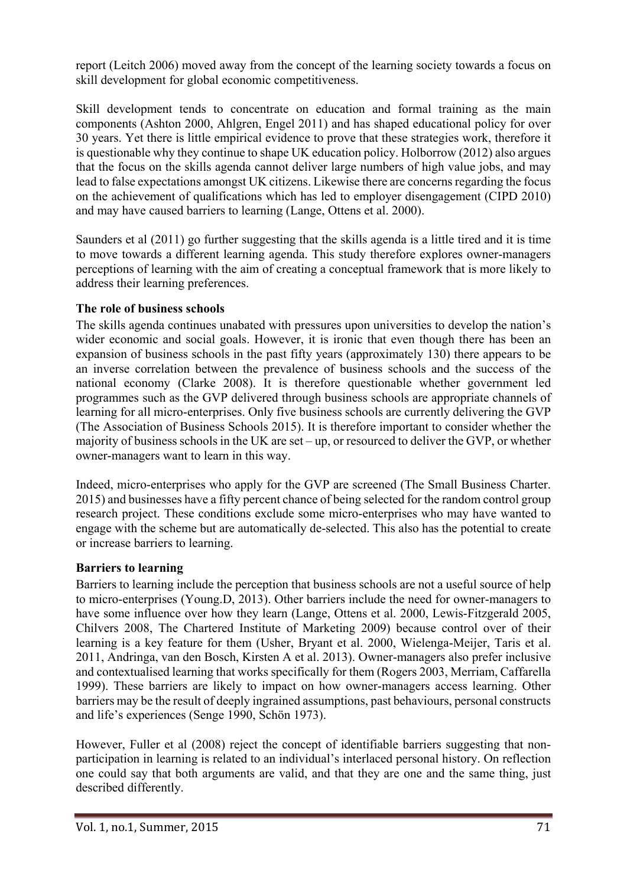report (Leitch 2006) moved away from the concept of the learning society towards a focus on skill development for global economic competitiveness.

Skill development tends to concentrate on education and formal training as the main components (Ashton 2000, Ahlgren, Engel 2011) and has shaped educational policy for over 30 years. Yet there is little empirical evidence to prove that these strategies work, therefore it is questionable why they continue to shape UK education policy. Holborrow (2012) also argues that the focus on the skills agenda cannot deliver large numbers of high value jobs, and may lead to false expectations amongst UK citizens. Likewise there are concerns regarding the focus on the achievement of qualifications which has led to employer disengagement (CIPD 2010) and may have caused barriers to learning (Lange, Ottens et al. 2000).

Saunders et al (2011) go further suggesting that the skills agenda is a little tired and it is time to move towards a different learning agenda. This study therefore explores owner-managers perceptions of learning with the aim of creating a conceptual framework that is more likely to address their learning preferences.

## **The role of business schools**

The skills agenda continues unabated with pressures upon universities to develop the nation's wider economic and social goals. However, it is ironic that even though there has been an expansion of business schools in the past fifty years (approximately 130) there appears to be an inverse correlation between the prevalence of business schools and the success of the national economy (Clarke 2008). It is therefore questionable whether government led programmes such as the GVP delivered through business schools are appropriate channels of learning for all micro-enterprises. Only five business schools are currently delivering the GVP (The Association of Business Schools 2015). It is therefore important to consider whether the majority of business schools in the UK are set – up, or resourced to deliver the GVP, or whether owner-managers want to learn in this way.

Indeed, micro-enterprises who apply for the GVP are screened (The Small Business Charter. 2015) and businesses have a fifty percent chance of being selected for the random control group research project. These conditions exclude some micro-enterprises who may have wanted to engage with the scheme but are automatically de-selected. This also has the potential to create or increase barriers to learning.

### **Barriers to learning**

Barriers to learning include the perception that business schools are not a useful source of help to micro-enterprises (Young.D, 2013). Other barriers include the need for owner-managers to have some influence over how they learn (Lange, Ottens et al. 2000, Lewis-Fitzgerald 2005, Chilvers 2008, The Chartered Institute of Marketing 2009) because control over of their learning is a key feature for them (Usher, Bryant et al. 2000, Wielenga-Meijer, Taris et al. 2011, Andringa, van den Bosch, Kirsten A et al. 2013). Owner-managers also prefer inclusive and contextualised learning that works specifically for them (Rogers 2003, Merriam, Caffarella 1999). These barriers are likely to impact on how owner-managers access learning. Other barriers may be the result of deeply ingrained assumptions, past behaviours, personal constructs and life's experiences (Senge 1990, Schön 1973).

However, Fuller et al (2008) reject the concept of identifiable barriers suggesting that nonparticipation in learning is related to an individual's interlaced personal history. On reflection one could say that both arguments are valid, and that they are one and the same thing, just described differently.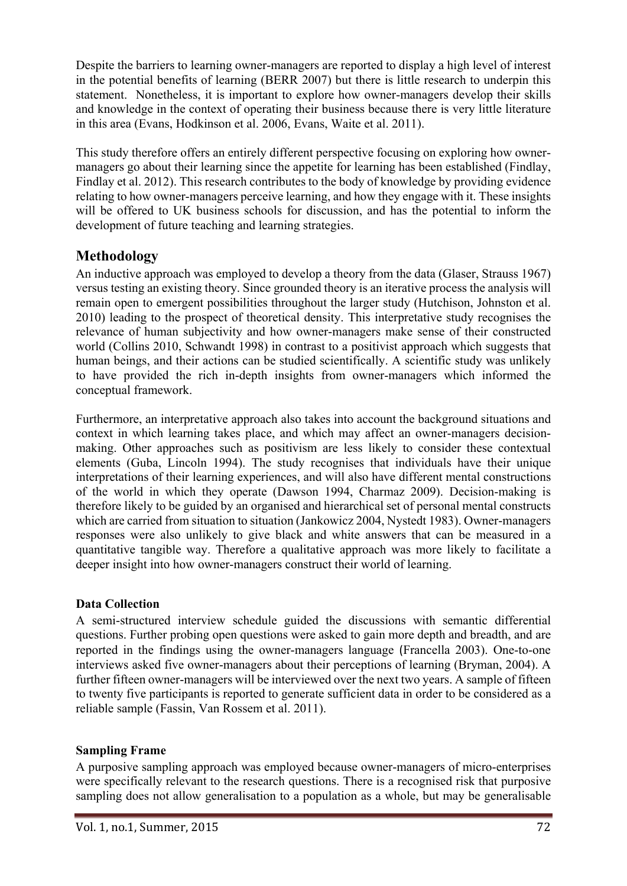Despite the barriers to learning owner-managers are reported to display a high level of interest in the potential benefits of learning (BERR 2007) but there is little research to underpin this statement. Nonetheless, it is important to explore how owner-managers develop their skills and knowledge in the context of operating their business because there is very little literature in this area (Evans, Hodkinson et al. 2006, Evans, Waite et al. 2011).

This study therefore offers an entirely different perspective focusing on exploring how ownermanagers go about their learning since the appetite for learning has been established (Findlay, Findlay et al. 2012). This research contributes to the body of knowledge by providing evidence relating to how owner-managers perceive learning, and how they engage with it. These insights will be offered to UK business schools for discussion, and has the potential to inform the development of future teaching and learning strategies.

# **Methodology**

An inductive approach was employed to develop a theory from the data (Glaser, Strauss 1967) versus testing an existing theory. Since grounded theory is an iterative process the analysis will remain open to emergent possibilities throughout the larger study (Hutchison, Johnston et al. 2010) leading to the prospect of theoretical density. This interpretative study recognises the relevance of human subjectivity and how owner-managers make sense of their constructed world (Collins 2010, Schwandt 1998) in contrast to a positivist approach which suggests that human beings, and their actions can be studied scientifically. A scientific study was unlikely to have provided the rich in-depth insights from owner-managers which informed the conceptual framework.

Furthermore, an interpretative approach also takes into account the background situations and context in which learning takes place, and which may affect an owner-managers decisionmaking. Other approaches such as positivism are less likely to consider these contextual elements (Guba, Lincoln 1994). The study recognises that individuals have their unique interpretations of their learning experiences, and will also have different mental constructions of the world in which they operate (Dawson 1994, Charmaz 2009). Decision-making is therefore likely to be guided by an organised and hierarchical set of personal mental constructs which are carried from situation to situation (Jankowicz 2004, Nystedt 1983). Owner-managers responses were also unlikely to give black and white answers that can be measured in a quantitative tangible way. Therefore a qualitative approach was more likely to facilitate a deeper insight into how owner-managers construct their world of learning.

## **Data Collection**

A semi-structured interview schedule guided the discussions with semantic differential questions. Further probing open questions were asked to gain more depth and breadth, and are reported in the findings using the owner-managers language (Francella 2003). One-to-one interviews asked five owner-managers about their perceptions of learning (Bryman, 2004). A further fifteen owner-managers will be interviewed over the next two years. A sample of fifteen to twenty five participants is reported to generate sufficient data in order to be considered as a reliable sample (Fassin, Van Rossem et al. 2011).

## **Sampling Frame**

A purposive sampling approach was employed because owner-managers of micro-enterprises were specifically relevant to the research questions. There is a recognised risk that purposive sampling does not allow generalisation to a population as a whole, but may be generalisable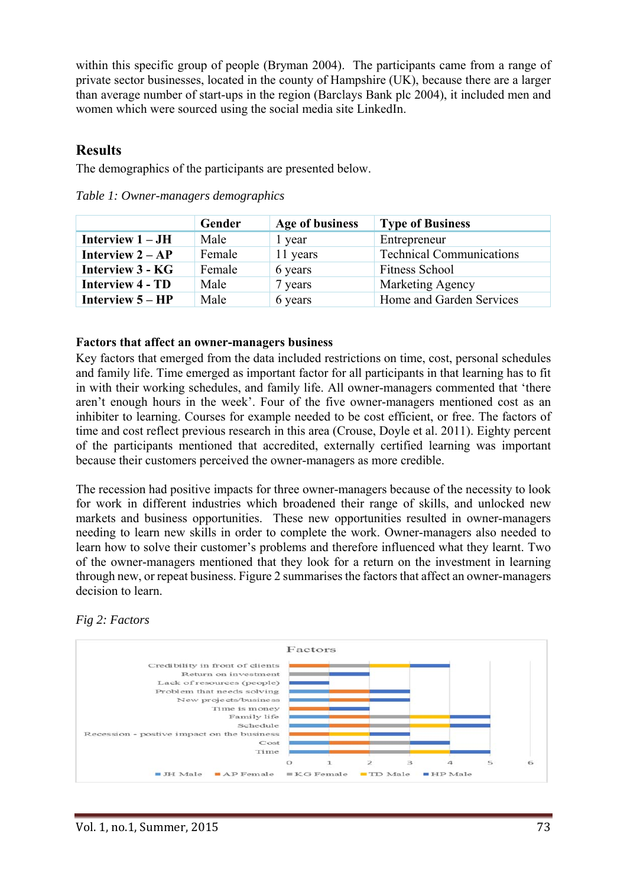within this specific group of people (Bryman 2004). The participants came from a range of private sector businesses, located in the county of Hampshire (UK), because there are a larger than average number of start-ups in the region (Barclays Bank plc 2004), it included men and women which were sourced using the social media site LinkedIn.

## **Results**

The demographics of the participants are presented below.

|                         | Gender | Age of business | <b>Type of Business</b>         |
|-------------------------|--------|-----------------|---------------------------------|
| Interview $1 - JH$      | Male   | 1 year          | Entrepreneur                    |
| Interview $2 - AP$      | Female | 11 years        | <b>Technical Communications</b> |
| <b>Interview 3 - KG</b> | Female | 6 years         | <b>Fitness School</b>           |
| <b>Interview 4 - TD</b> | Male   | 7 years         | <b>Marketing Agency</b>         |
| Interview $5 - HP$      | Male   | 6 years         | Home and Garden Services        |

*Table 1: Owner-managers demographics* 

## **Factors that affect an owner-managers business**

Key factors that emerged from the data included restrictions on time, cost, personal schedules and family life. Time emerged as important factor for all participants in that learning has to fit in with their working schedules, and family life. All owner-managers commented that 'there aren't enough hours in the week'. Four of the five owner-managers mentioned cost as an inhibiter to learning. Courses for example needed to be cost efficient, or free. The factors of time and cost reflect previous research in this area (Crouse, Doyle et al. 2011). Eighty percent of the participants mentioned that accredited, externally certified learning was important because their customers perceived the owner-managers as more credible.

The recession had positive impacts for three owner-managers because of the necessity to look for work in different industries which broadened their range of skills, and unlocked new markets and business opportunities. These new opportunities resulted in owner-managers needing to learn new skills in order to complete the work. Owner-managers also needed to learn how to solve their customer's problems and therefore influenced what they learnt. Two of the owner-managers mentioned that they look for a return on the investment in learning through new, or repeat business. Figure 2 summarises the factors that affect an owner-managers decision to learn.



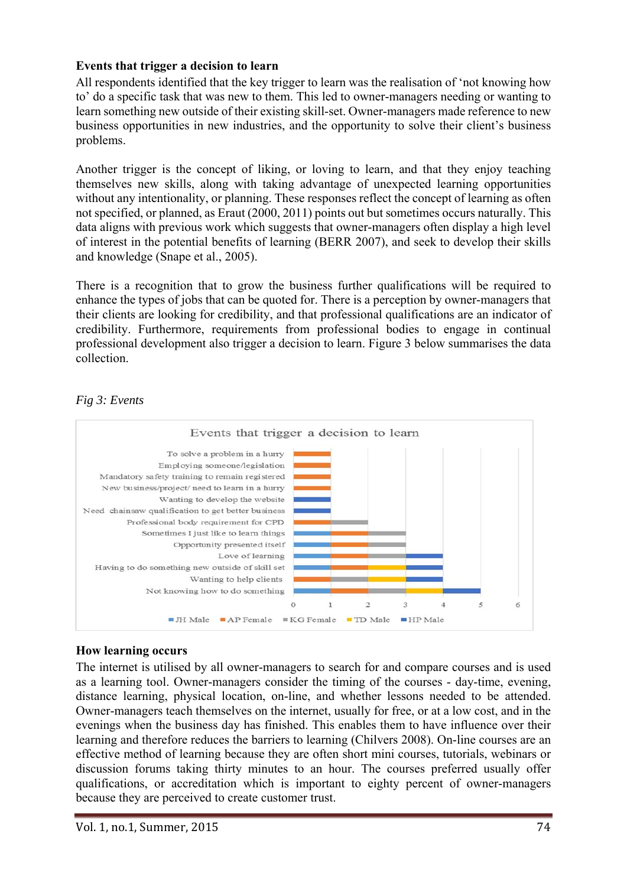### **Events that trigger a decision to learn**

All respondents identified that the key trigger to learn was the realisation of 'not knowing how to' do a specific task that was new to them. This led to owner-managers needing or wanting to learn something new outside of their existing skill-set. Owner-managers made reference to new business opportunities in new industries, and the opportunity to solve their client's business problems.

Another trigger is the concept of liking, or loving to learn, and that they enjoy teaching themselves new skills, along with taking advantage of unexpected learning opportunities without any intentionality, or planning. These responses reflect the concept of learning as often not specified, or planned, as Eraut (2000, 2011) points out but sometimes occurs naturally. This data aligns with previous work which suggests that owner-managers often display a high level of interest in the potential benefits of learning (BERR 2007), and seek to develop their skills and knowledge (Snape et al., 2005).

There is a recognition that to grow the business further qualifications will be required to enhance the types of jobs that can be quoted for. There is a perception by owner-managers that their clients are looking for credibility, and that professional qualifications are an indicator of credibility. Furthermore, requirements from professional bodies to engage in continual professional development also trigger a decision to learn. Figure 3 below summarises the data collection.



### *Fig 3: Events*

### **How learning occurs**

The internet is utilised by all owner-managers to search for and compare courses and is used as a learning tool. Owner-managers consider the timing of the courses - day-time, evening, distance learning, physical location, on-line, and whether lessons needed to be attended. Owner-managers teach themselves on the internet, usually for free, or at a low cost, and in the evenings when the business day has finished. This enables them to have influence over their learning and therefore reduces the barriers to learning (Chilvers 2008). On-line courses are an effective method of learning because they are often short mini courses, tutorials, webinars or discussion forums taking thirty minutes to an hour. The courses preferred usually offer qualifications, or accreditation which is important to eighty percent of owner-managers because they are perceived to create customer trust.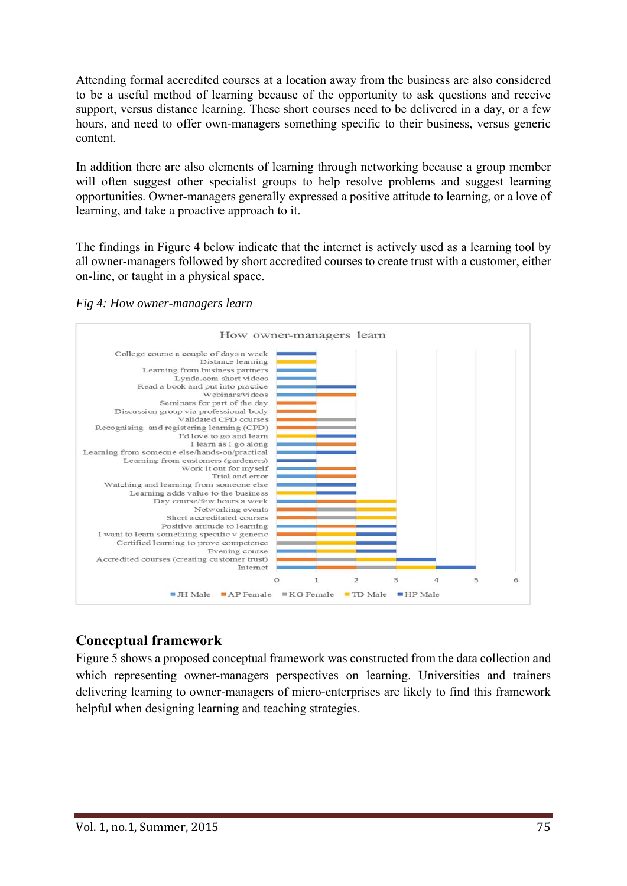Attending formal accredited courses at a location away from the business are also considered to be a useful method of learning because of the opportunity to ask questions and receive support, versus distance learning. These short courses need to be delivered in a day, or a few hours, and need to offer own-managers something specific to their business, versus generic content.

In addition there are also elements of learning through networking because a group member will often suggest other specialist groups to help resolve problems and suggest learning opportunities. Owner-managers generally expressed a positive attitude to learning, or a love of learning, and take a proactive approach to it.

The findings in Figure 4 below indicate that the internet is actively used as a learning tool by all owner-managers followed by short accredited courses to create trust with a customer, either on-line, or taught in a physical space.

*Fig 4: How owner-managers learn* 



# **Conceptual framework**

Figure 5 shows a proposed conceptual framework was constructed from the data collection and which representing owner-managers perspectives on learning. Universities and trainers delivering learning to owner-managers of micro-enterprises are likely to find this framework helpful when designing learning and teaching strategies.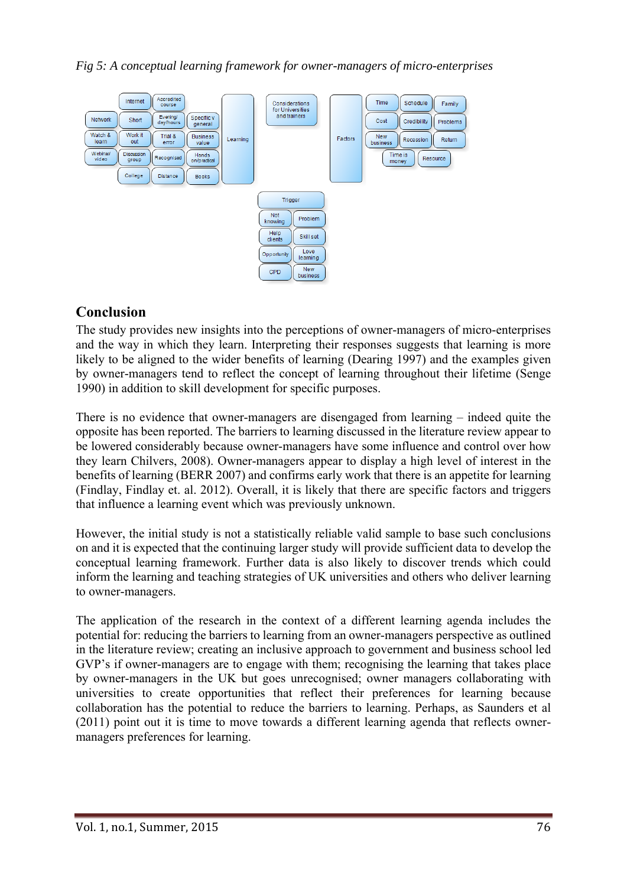*Fig 5: A conceptual learning framework for owner-managers of micro-enterprises* 



## **Conclusion**

The study provides new insights into the perceptions of owner-managers of micro-enterprises and the way in which they learn. Interpreting their responses suggests that learning is more likely to be aligned to the wider benefits of learning (Dearing 1997) and the examples given by owner-managers tend to reflect the concept of learning throughout their lifetime (Senge 1990) in addition to skill development for specific purposes.

There is no evidence that owner-managers are disengaged from learning – indeed quite the opposite has been reported. The barriers to learning discussed in the literature review appear to be lowered considerably because owner-managers have some influence and control over how they learn Chilvers, 2008). Owner-managers appear to display a high level of interest in the benefits of learning (BERR 2007) and confirms early work that there is an appetite for learning (Findlay, Findlay et. al. 2012). Overall, it is likely that there are specific factors and triggers that influence a learning event which was previously unknown.

However, the initial study is not a statistically reliable valid sample to base such conclusions on and it is expected that the continuing larger study will provide sufficient data to develop the conceptual learning framework. Further data is also likely to discover trends which could inform the learning and teaching strategies of UK universities and others who deliver learning to owner-managers.

The application of the research in the context of a different learning agenda includes the potential for: reducing the barriers to learning from an owner-managers perspective as outlined in the literature review; creating an inclusive approach to government and business school led GVP's if owner-managers are to engage with them; recognising the learning that takes place by owner-managers in the UK but goes unrecognised; owner managers collaborating with universities to create opportunities that reflect their preferences for learning because collaboration has the potential to reduce the barriers to learning. Perhaps, as Saunders et al (2011) point out it is time to move towards a different learning agenda that reflects ownermanagers preferences for learning.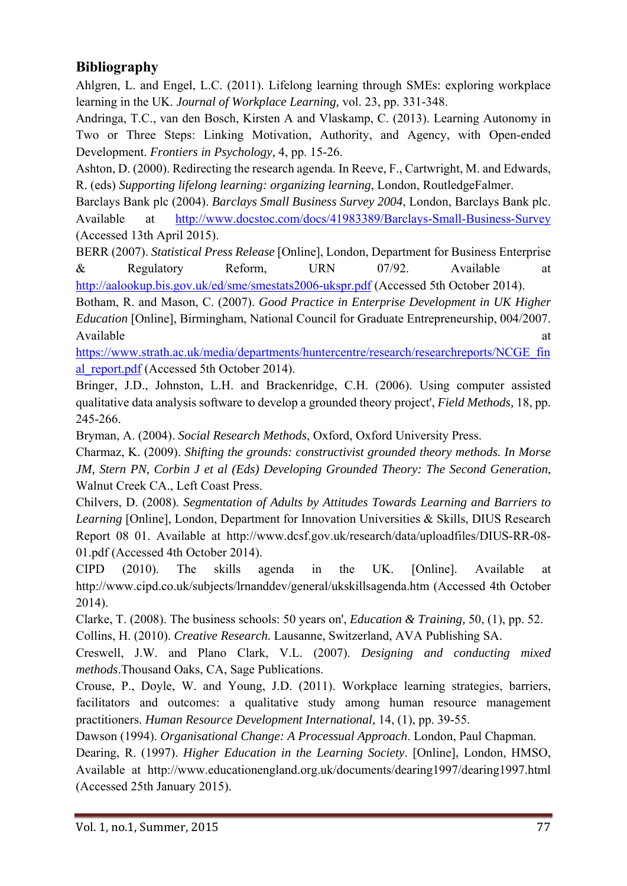# **Bibliography**

Ahlgren, L. and Engel, L.C. (2011). Lifelong learning through SMEs: exploring workplace learning in the UK. *Journal of Workplace Learning,* vol. 23, pp. 331-348.

Andringa, T.C., van den Bosch, Kirsten A and Vlaskamp, C. (2013). Learning Autonomy in Two or Three Steps: Linking Motivation, Authority, and Agency, with Open-ended Development. *Frontiers in Psychology,* 4, pp. 15-26.

Ashton, D. (2000). Redirecting the research agenda. In Reeve, F., Cartwright, M. and Edwards, R. (eds) *Supporting lifelong learning: organizing learning*, London, RoutledgeFalmer.

Barclays Bank plc (2004). *Barclays Small Business Survey 2004*, London, Barclays Bank plc. Available at http://www.docstoc.com/docs/41983389/Barclays-Small-Business-Survey (Accessed 13th April 2015).

BERR (2007). *Statistical Press Release* [Online], London, Department for Business Enterprise & Regulatory Reform, URN 07/92. Available at http://aalookup.bis.gov.uk/ed/sme/smestats2006-ukspr.pdf (Accessed 5th October 2014).

Botham, R. and Mason, C. (2007). *Good Practice in Enterprise Development in UK Higher Education* [Online], Birmingham, National Council for Graduate Entrepreneurship, 004/2007. Available at a state of the state at a state of the state at a state at a state at a state at a state at a state  $\alpha$ 

https://www.strath.ac.uk/media/departments/huntercentre/research/researchreports/NCGE\_fin al\_report.pdf (Accessed 5th October 2014).

Bringer, J.D., Johnston, L.H. and Brackenridge, C.H. (2006). Using computer assisted qualitative data analysis software to develop a grounded theory project', *Field Methods,* 18, pp. 245-266.

Bryman, A. (2004). *Social Research Methods*, Oxford, Oxford University Press.

Charmaz, K. (2009). *Shifting the grounds: constructivist grounded theory methods. In Morse JM, Stern PN, Corbin J et al (Eds) Developing Grounded Theory: The Second Generation*, Walnut Creek CA., Left Coast Press.

Chilvers, D. (2008). *Segmentation of Adults by Attitudes Towards Learning and Barriers to Learning* [Online], London, Department for Innovation Universities & Skills, DIUS Research Report 08 01. Available at http://www.dcsf.gov.uk/research/data/uploadfiles/DIUS-RR-08- 01.pdf (Accessed 4th October 2014).

CIPD (2010). The skills agenda in the UK. [Online]. Available at http://www.cipd.co.uk/subjects/lrnanddev/general/ukskillsagenda.htm (Accessed 4th October 2014).

Clarke, T. (2008). The business schools: 50 years on', *Education & Training,* 50, (1), pp. 52. Collins, H. (2010). *Creative Research.* Lausanne, Switzerland, AVA Publishing SA.

Creswell, J.W. and Plano Clark, V.L. (2007). *Designing and conducting mixed methods*.Thousand Oaks, CA, Sage Publications.

Crouse, P., Doyle, W. and Young, J.D. (2011). Workplace learning strategies, barriers, facilitators and outcomes: a qualitative study among human resource management practitioners. *Human Resource Development International,* 14, (1), pp. 39-55.

Dawson (1994). *Organisational Change: A Processual Approach*. London, Paul Chapman.

Dearing, R. (1997). *Higher Education in the Learning Society*. [Online], London, HMSO, Available at http://www.educationengland.org.uk/documents/dearing1997/dearing1997.html (Accessed 25th January 2015).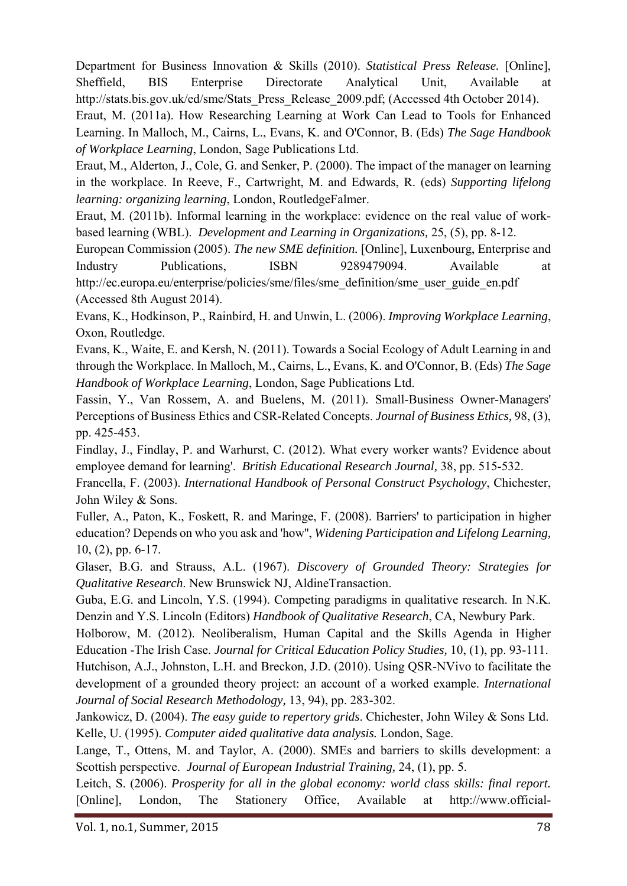Department for Business Innovation & Skills (2010). *Statistical Press Release.* [Online], Sheffield, BIS Enterprise Directorate Analytical Unit, Available at http://stats.bis.gov.uk/ed/sme/Stats\_Press\_Release\_2009.pdf; (Accessed 4th October 2014).

Eraut, M. (2011a). How Researching Learning at Work Can Lead to Tools for Enhanced Learning. In Malloch, M., Cairns, L., Evans, K. and O'Connor, B. (Eds) *The Sage Handbook of Workplace Learning*, London, Sage Publications Ltd.

Eraut, M., Alderton, J., Cole, G. and Senker, P. (2000). The impact of the manager on learning in the workplace. In Reeve, F., Cartwright, M. and Edwards, R. (eds) *Supporting lifelong learning: organizing learning*, London, RoutledgeFalmer.

Eraut, M. (2011b). Informal learning in the workplace: evidence on the real value of workbased learning (WBL). *Development and Learning in Organizations,* 25, (5), pp. 8-12.

European Commission (2005). *The new SME definition.* [Online], Luxenbourg, Enterprise and Industry Publications, ISBN 9289479094. Available at http://ec.europa.eu/enterprise/policies/sme/files/sme\_definition/sme\_user\_guide\_en.pdf (Accessed 8th August 2014).

Evans, K., Hodkinson, P., Rainbird, H. and Unwin, L. (2006). *Improving Workplace Learning*, Oxon, Routledge.

Evans, K., Waite, E. and Kersh, N. (2011). Towards a Social Ecology of Adult Learning in and through the Workplace. In Malloch, M., Cairns, L., Evans, K. and O'Connor, B. (Eds) *The Sage Handbook of Workplace Learning*, London, Sage Publications Ltd.

Fassin, Y., Van Rossem, A. and Buelens, M. (2011). Small-Business Owner-Managers' Perceptions of Business Ethics and CSR-Related Concepts. *Journal of Business Ethics,* 98, (3), pp. 425-453.

Findlay, J., Findlay, P. and Warhurst, C. (2012). What every worker wants? Evidence about employee demand for learning'. *British Educational Research Journal,* 38, pp. 515-532.

Francella, F. (2003). *International Handbook of Personal Construct Psychology*, Chichester, John Wiley & Sons.

Fuller, A., Paton, K., Foskett, R. and Maringe, F. (2008). Barriers' to participation in higher education? Depends on who you ask and 'how'', *Widening Participation and Lifelong Learning,*  10, (2), pp. 6-17.

Glaser, B.G. and Strauss, A.L. (1967). *Discovery of Grounded Theory: Strategies for Qualitative Research*. New Brunswick NJ, AldineTransaction.

Guba, E.G. and Lincoln, Y.S. (1994). Competing paradigms in qualitative research. In N.K. Denzin and Y.S. Lincoln (Editors) *Handbook of Qualitative Research*, CA, Newbury Park.

Holborow, M. (2012). Neoliberalism, Human Capital and the Skills Agenda in Higher Education -The Irish Case. *Journal for Critical Education Policy Studies,* 10, (1), pp. 93-111.

Hutchison, A.J., Johnston, L.H. and Breckon, J.D. (2010). Using QSR-NVivo to facilitate the development of a grounded theory project: an account of a worked example. *International Journal of Social Research Methodology,* 13, 94), pp. 283-302.

Jankowicz, D. (2004). *The easy guide to repertory grids*. Chichester, John Wiley & Sons Ltd. Kelle, U. (1995). *Computer aided qualitative data analysis.* London, Sage.

Lange, T., Ottens, M. and Taylor, A. (2000). SMEs and barriers to skills development: a Scottish perspective. *Journal of European Industrial Training,* 24, (1), pp. 5.

Leitch, S. (2006). *Prosperity for all in the global economy: world class skills: final report.* [Online], London, The Stationery Office, Available at http://www.official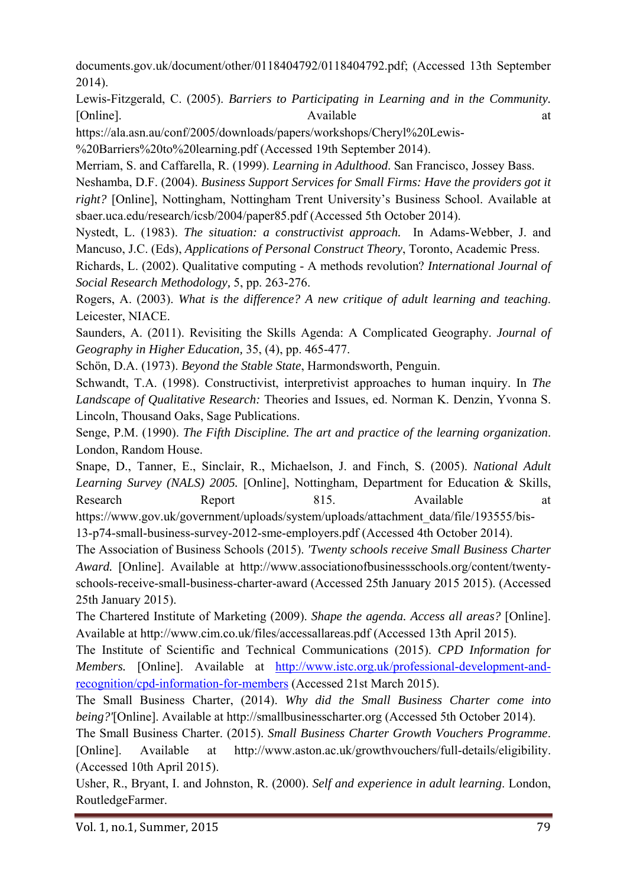documents.gov.uk/document/other/0118404792/0118404792.pdf; (Accessed 13th September 2014).

Lewis-Fitzgerald, C. (2005). *Barriers to Participating in Learning and in the Community.* [Online]. at a contract a contract a contract a contract a contract a contract a contract a contract a contract a contract a contract a contract a contract a contract a contract a contract a contract a contract a contract

https://ala.asn.au/conf/2005/downloads/papers/workshops/Cheryl%20Lewis-

%20Barriers%20to%20learning.pdf (Accessed 19th September 2014).

Merriam, S. and Caffarella, R. (1999). *Learning in Adulthood*. San Francisco, Jossey Bass.

Neshamba, D.F. (2004). *Business Support Services for Small Firms: Have the providers got it right?* [Online], Nottingham, Nottingham Trent University's Business School. Available at sbaer.uca.edu/research/icsb/2004/paper85.pdf (Accessed 5th October 2014).

Nystedt, L. (1983). *The situation: a constructivist approach.* In Adams-Webber, J. and Mancuso, J.C. (Eds), *Applications of Personal Construct Theory*, Toronto, Academic Press.

Richards, L. (2002). Qualitative computing - A methods revolution? *International Journal of Social Research Methodology,* 5, pp. 263-276.

Rogers, A. (2003). *What is the difference? A new critique of adult learning and teaching*. Leicester, NIACE.

Saunders, A. (2011). Revisiting the Skills Agenda: A Complicated Geography. *Journal of Geography in Higher Education,* 35, (4), pp. 465-477.

Schön, D.A. (1973). *Beyond the Stable State*, Harmondsworth, Penguin.

Schwandt, T.A. (1998). Constructivist, interpretivist approaches to human inquiry. In *The Landscape of Qualitative Research:* Theories and Issues, ed. Norman K. Denzin, Yvonna S. Lincoln, Thousand Oaks, Sage Publications.

Senge, P.M. (1990). *The Fifth Discipline. The art and practice of the learning organization*. London, Random House.

Snape, D., Tanner, E., Sinclair, R., Michaelson, J. and Finch, S. (2005). *National Adult Learning Survey (NALS) 2005.* [Online], Nottingham, Department for Education & Skills, Research Report 815. Available at https://www.gov.uk/government/uploads/system/uploads/attachment\_data/file/193555/bis-13-p74-small-business-survey-2012-sme-employers.pdf (Accessed 4th October 2014).

The Association of Business Schools (2015). *'Twenty schools receive Small Business Charter Award.* [Online]. Available at http://www.associationofbusinessschools.org/content/twentyschools-receive-small-business-charter-award (Accessed 25th January 2015 2015). (Accessed 25th January 2015).

The Chartered Institute of Marketing (2009). *Shape the agenda. Access all areas?* [Online]. Available at http://www.cim.co.uk/files/accessallareas.pdf (Accessed 13th April 2015).

The Institute of Scientific and Technical Communications (2015). *CPD Information for Members.* [Online]. Available at http://www.istc.org.uk/professional-development-andrecognition/cpd-information-for-members (Accessed 21st March 2015).

The Small Business Charter, (2014). *Why did the Small Business Charter come into being?'*[Online]. Available at http://smallbusinesscharter.org (Accessed 5th October 2014).

The Small Business Charter. (2015). *Small Business Charter Growth Vouchers Programme*. [Online]. Available at http://www.aston.ac.uk/growthvouchers/full-details/eligibility. (Accessed 10th April 2015).

Usher, R., Bryant, I. and Johnston, R. (2000). *Self and experience in adult learning*. London, RoutledgeFarmer.